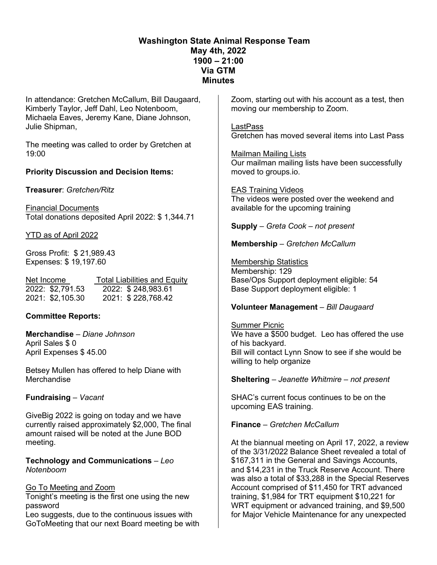# **Washington State Animal Response Team May 4th, 2022 1900 – 21:00 Via GTM Minutes**

In attendance: Gretchen McCallum, Bill Daugaard, Kimberly Taylor, Jeff Dahl, Leo Notenboom, Michaela Eaves, Jeremy Kane, Diane Johnson, Julie Shipman,

The meeting was called to order by Gretchen at 19:00

## **Priority Discussion and Decision Items:**

**Treasurer**: *Gretchen/Ritz*

Financial Documents Total donations deposited April 2022: \$ 1,344.71

YTD as of April 2022

Gross Profit: \$ 21,989.43 Expenses: \$ 19,197.60

| Net Income       | <b>Total Liabilities and Equity</b> |  |  |
|------------------|-------------------------------------|--|--|
| 2022: \$2,791.53 | 2022: \$248,983.61                  |  |  |
| 2021: \$2,105.30 | 2021: \$228,768.42                  |  |  |

## **Committee Reports:**

**Merchandise** – *Diane Johnson*  April Sales \$ 0 April Expenses \$ 45.00

Betsey Mullen has offered to help Diane with **Merchandise** 

## **Fundraising** – *Vacant*

GiveBig 2022 is going on today and we have currently raised approximately \$2,000, The final amount raised will be noted at the June BOD meeting.

**Technology and Communications** – *Leo Notenboom* 

## Go To Meeting and Zoom

Tonight's meeting is the first one using the new password

Leo suggests, due to the continuous issues with GoToMeeting that our next Board meeting be with Zoom, starting out with his account as a test, then moving our membership to Zoom.

LastPass Gretchen has moved several items into Last Pass

Mailman Mailing Lists Our mailman mailing lists have been successfully moved to groups.io.

EAS Training Videos The videos were posted over the weekend and available for the upcoming training

**Supply** – *Greta Cook – not present*

## **Membership** – *Gretchen McCallum*

Membership Statistics Membership: 129 Base/Ops Support deployment eligible: 54 Base Support deployment eligible: 1

## **Volunteer Management** – *Bill Daugaard*

Summer Picnic We have a \$500 budget. Leo has offered the use of his backyard. Bill will contact Lynn Snow to see if she would be willing to help organize

**Sheltering** – *Jeanette Whitmire – not present*

SHAC's current focus continues to be on the upcoming EAS training.

## **Finance** – *Gretchen McCallum*

At the biannual meeting on April 17, 2022, a review of the 3/31/2022 Balance Sheet revealed a total of \$167,311 in the General and Savings Accounts, and \$14,231 in the Truck Reserve Account. There was also a total of \$33,288 in the Special Reserves Account comprised of \$11,450 for TRT advanced training, \$1,984 for TRT equipment \$10,221 for WRT equipment or advanced training, and \$9,500 for Major Vehicle Maintenance for any unexpected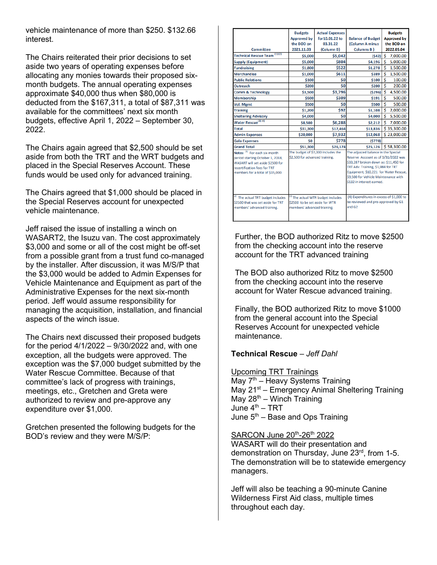vehicle maintenance of more than \$250. \$132.66 interest.

The Chairs reiterated their prior decisions to set aside two years of operating expenses before allocating any monies towards their proposed sixmonth budgets. The annual operating expenses approximate \$40,000 thus when \$80,000 is deducted from the \$167,311, a total of \$87,311 was available for the committees' next six month budgets, effective April 1, 2022 – September 30, 2022.

The Chairs again agreed that \$2,500 should be set aside from both the TRT and the WRT budgets and placed in the Special Reserves Account. These funds would be used only for advanced training.

The Chairs agreed that \$1,000 should be placed in the Special Reserves account for unexpected vehicle maintenance.

Jeff raised the issue of installing a winch on WASART2, the Isuzu van. The cost approximately \$3,000 and some or all of the cost might be off-set from a possible grant from a trust fund co-managed by the installer. After discussion, it was M/S/P that the \$3,000 would be added to Admin Expenses for Vehicle Maintenance and Equipment as part of the Administrative Expenses for the next six-month period. Jeff would assume responsibility for managing the acquisition, installation, and financial aspects of the winch issue.

The Chairs next discussed their proposed budgets for the period 4/1/2022 – 9/30/2022 and, with one exception, all the budgets were approved. The exception was the \$7,000 budget submitted by the Water Rescue Committee. Because of that committee's lack of progress with trainings, meetings, etc., Gretchen and Greta were authorized to review and pre-approve any expenditure over \$1,000.

Gretchen presented the following budgets for the BOD's review and they were M/S/P:

|                                                                                                                                                                           | <b>Budgets</b>                                                       | <b>Actual Expenses</b>             |                                                                                                                                                                                                                                                                         | <b>Budgets</b>       |
|---------------------------------------------------------------------------------------------------------------------------------------------------------------------------|----------------------------------------------------------------------|------------------------------------|-------------------------------------------------------------------------------------------------------------------------------------------------------------------------------------------------------------------------------------------------------------------------|----------------------|
|                                                                                                                                                                           | <b>Approved by</b>                                                   | for10.01.22 to                     | <b>Balance of Budget</b>                                                                                                                                                                                                                                                | <b>Approved by</b>   |
|                                                                                                                                                                           | the BOD on                                                           | 03.31.22                           | (Column A minus                                                                                                                                                                                                                                                         | the BOD on           |
| <b>Committee</b>                                                                                                                                                          | 2021.11.03                                                           | (Column B)                         | Columns B)                                                                                                                                                                                                                                                              | 2022.05.04           |
| Technical Rescue Team <sup>(1)(2)</sup>                                                                                                                                   | \$5,000                                                              | \$5,042                            | (542)                                                                                                                                                                                                                                                                   | Ŝ.<br>7,000.00       |
| <b>Supply (Equipment)</b>                                                                                                                                                 | \$5,000                                                              | \$804                              | \$4,196                                                                                                                                                                                                                                                                 | \$<br>5,000.00       |
| <b>Fundraising</b>                                                                                                                                                        | \$1,800                                                              | \$522                              | \$1,278                                                                                                                                                                                                                                                                 | \$<br>1,500.00       |
| <b>Merchandise</b>                                                                                                                                                        | \$1,000                                                              | \$611                              | \$389                                                                                                                                                                                                                                                                   | Ś<br>1,500.00        |
| <b>Public Relations</b>                                                                                                                                                   | \$100                                                                | Ś0                                 | \$100                                                                                                                                                                                                                                                                   | Ś<br>100.00          |
| <b>Outreach</b>                                                                                                                                                           | \$200                                                                | Ś0                                 | \$200                                                                                                                                                                                                                                                                   | Ś<br>200.00          |
| <b>Comm &amp; Technology</b>                                                                                                                                              | \$3,500                                                              | \$3,796                            | (5296)                                                                                                                                                                                                                                                                  | Ś<br>4,500.00        |
| <b>Membership</b>                                                                                                                                                         | \$500                                                                | \$309                              | <b>\$191</b>                                                                                                                                                                                                                                                            | Ś<br>500.00          |
| Vol. Mgmt                                                                                                                                                                 | \$500                                                                | \$0                                | \$500                                                                                                                                                                                                                                                                   | Ś<br>500.00          |
| <b>Training</b>                                                                                                                                                           | \$1,200                                                              | \$92                               | \$1,108                                                                                                                                                                                                                                                                 | Ś.<br>2,000.00       |
| <b>Sheltering Advisory</b>                                                                                                                                                | \$4,000                                                              | \$0                                | \$4,000                                                                                                                                                                                                                                                                 | Ś.<br>5,500.00       |
| Water Rescue <sup>(3)</sup> <sup>(4)</sup>                                                                                                                                | \$8,500                                                              | \$6,288                            | \$2,212                                                                                                                                                                                                                                                                 | Ś<br>7,000.00        |
| Total                                                                                                                                                                     | \$31,300                                                             | \$17,464                           | \$13,836                                                                                                                                                                                                                                                                | \$35,300.00          |
| <b>Admin Expenses</b>                                                                                                                                                     | \$20,000                                                             | \$7,932                            | \$12,068                                                                                                                                                                                                                                                                | \$23,000.00          |
| <b>Gala Expenses</b>                                                                                                                                                      | \$0                                                                  | \$778                              | (5778)                                                                                                                                                                                                                                                                  |                      |
| <b>Grand Total</b>                                                                                                                                                        | \$51,300                                                             | \$26,174                           |                                                                                                                                                                                                                                                                         | \$25,126 \$58,300.00 |
| Notes: (1) For each six month<br>period starting October 1, 2018,<br>WASART will set aside \$2500 for<br>recertification fees for TRT<br>members for a total of \$15,000. | The budget of \$7,000 includes the<br>\$2,500 for advanced training. |                                    | The adjusted balance in the Special<br>Reserve Account as of 3/31/2022 was<br>\$33,287 broken down as: \$11,450 for<br>TRT Adv. Training, \$1,984 for TRT<br>Equipment, \$10,221 for Water Rescue,<br>\$9.500 for Vehicle Maintenance with<br>\$132 in interest earned. |                      |
| (2)<br>The actual TRT budget includes<br>\$2500 that was set aside for TRT<br>members' advanced training.                                                                 | \$2500 to be set aside for WTR<br>members' advanced training.        | (3) The actual WTR budget includes | (4) Expenditures in excess of \$1,000 to<br>be reviewed and pre-approved by G1<br>and G2                                                                                                                                                                                |                      |

Further, the BOD authorized Ritz to move \$2500 from the checking account into the reserve account for the TRT advanced training

The BOD also authorized Ritz to move \$2500 from the checking account into the reserve account for Water Rescue advanced training.

Finally, the BOD authorized Ritz to move \$1000 from the general account into the Special Reserves Account for unexpected vehicle maintenance.

#### **Technical Rescue** – *Jeff Dahl*

Upcoming TRT Trainings

May  $7<sup>th</sup>$  – Heavy Systems Training May 21<sup>st</sup> – Emergency Animal Sheltering Training May  $28<sup>th</sup>$  – Winch Training June  $4<sup>th</sup>$  – TRT June  $5<sup>th</sup>$  – Base and Ops Training

SARCON June 20th-26th 2022

WASART will do their presentation and demonstration on Thursday, June 23rd, from 1-5. The demonstration will be to statewide emergency managers.

Jeff will also be teaching a 90-minute Canine Wilderness First Aid class, multiple times throughout each day.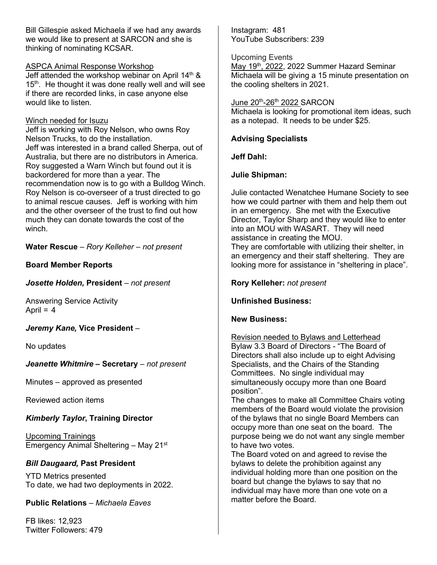Bill Gillespie asked Michaela if we had any awards we would like to present at SARCON and she is thinking of nominating KCSAR.

#### ASPCA Animal Response Workshop

Jeff attended the workshop webinar on April 14<sup>th</sup> & 15<sup>th</sup>. He thought it was done really well and will see if there are recorded links, in case anyone else would like to listen.

#### Winch needed for Isuzu

Jeff is working with Roy Nelson, who owns Roy Nelson Trucks, to do the installation. Jeff was interested in a brand called Sherpa, out of Australia, but there are no distributors in America. Roy suggested a Warn Winch but found out it is backordered for more than a year. The recommendation now is to go with a Bulldog Winch. Roy Nelson is co-overseer of a trust directed to go to animal rescue causes. Jeff is working with him and the other overseer of the trust to find out how much they can donate towards the cost of the winch.

**Water Rescue** – *Rory Kelleher – not present*

## **Board Member Reports**

*Josette Holden,* **President** *– not present*

Answering Service Activity April  $= 4$ 

*Jeremy Kane,* **Vice President** *–* 

No updates

*Jeanette Whitmire* **– Secretary** *– not present*

Minutes – approved as presented

Reviewed action items

# *Kimberly Taylor***, Training Director**

Upcoming Trainings Emergency Animal Sheltering – May 21st

## *Bill Daugaard,* **Past President**

YTD Metrics presented To date, we had two deployments in 2022.

**Public Relations** – *Michaela Eaves* 

FB likes: 12,923 Twitter Followers: 479 Instagram: 481 YouTube Subscribers: 239

Upcoming Events May 19<sup>th</sup>, 2022, 2022 Summer Hazard Seminar Michaela will be giving a 15 minute presentation on the cooling shelters in 2021.

#### June 20th-26th 2022 SARCON

Michaela is looking for promotional item ideas, such as a notepad. It needs to be under \$25.

## **Advising Specialists**

**Jeff Dahl:** 

## **Julie Shipman:**

Julie contacted Wenatchee Humane Society to see how we could partner with them and help them out in an emergency. She met with the Executive Director, Taylor Sharp and they would like to enter into an MOU with WASART. They will need assistance in creating the MOU.

They are comfortable with utilizing their shelter, in an emergency and their staff sheltering. They are looking more for assistance in "sheltering in place".

**Rory Kelleher:** *not present*

**Unfinished Business:**

## **New Business:**

Revision needed to Bylaws and Letterhead Bylaw 3.3 Board of Directors - "The Board of Directors shall also include up to eight Advising Specialists, and the Chairs of the Standing Committees. No single individual may simultaneously occupy more than one Board position".

The changes to make all Committee Chairs voting members of the Board would violate the provision of the bylaws that no single Board Members can occupy more than one seat on the board. The purpose being we do not want any single member to have two votes.

The Board voted on and agreed to revise the bylaws to delete the prohibition against any individual holding more than one position on the board but change the bylaws to say that no individual may have more than one vote on a matter before the Board.